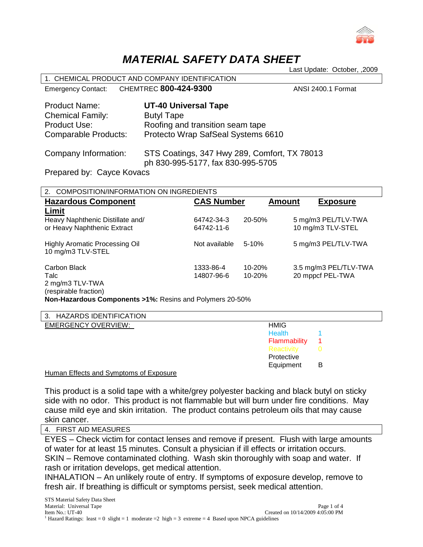

# *MATERIAL SAFETY DATA SHEET*

Last Update: October, ,2009

| 1. CHEMICAL PRODUCT AND COMPANY IDENTIFICATION                                                 |                                                                                                                            |                    |  |  |
|------------------------------------------------------------------------------------------------|----------------------------------------------------------------------------------------------------------------------------|--------------------|--|--|
|                                                                                                | Emergency Contact: CHEMTREC 800-424-9300                                                                                   | ANSI 2400.1 Format |  |  |
| <b>Product Name:</b><br><b>Chemical Family:</b><br><b>Product Use:</b><br>Comparable Products: | <b>UT-40 Universal Tape</b><br><b>Butyl Tape</b><br>Roofing and transition seam tape<br>Protecto Wrap SafSeal Systems 6610 |                    |  |  |
| Company Information:                                                                           | STS Coatings, 347 Hwy 289, Comfort, TX 78013                                                                               |                    |  |  |

ph 830-995-5177, fax 830-995-5705

Prepared by: Cayce Kovacs

| COMPOSITION/INFORMATION ON INGREDIENTS<br>$\mathcal{P}$    |                   |               |                       |
|------------------------------------------------------------|-------------------|---------------|-----------------------|
| <b>Hazardous Component</b>                                 | <b>CAS Number</b> | <b>Amount</b> | <b>Exposure</b>       |
| Limit                                                      |                   |               |                       |
| Heavy Naphthenic Distillate and/                           | 64742-34-3        | 20-50%        | 5 mg/m3 PEL/TLV-TWA   |
| or Heavy Naphthenic Extract                                | 64742-11-6        |               | 10 mg/m3 TLV-STEL     |
| <b>Highly Aromatic Processing Oil</b><br>10 mg/m3 TLV-STEL | Not available     | $5 - 10%$     | 5 mg/m3 PEL/TLV-TWA   |
| Carbon Black                                               | 1333-86-4         | $10 - 20%$    | 3.5 mg/m3 PEL/TLV-TWA |
| Talc                                                       | 14807-96-6        | $10 - 20%$    | 20 mppcf PEL-TWA      |
| 2 mg/m3 TLV-TWA                                            |                   |               |                       |
| (respirable fraction)                                      |                   |               |                       |

**Non-Hazardous Components >1%:** Resins and Polymers 20-50%

| 3. HAZARDS IDENTIFICATION  |               |   |  |
|----------------------------|---------------|---|--|
| <b>EMERGENCY OVERVIEW:</b> | <b>HMIG</b>   |   |  |
|                            | <b>Health</b> |   |  |
|                            | Flammability  |   |  |
|                            | Reactivity    |   |  |
|                            | Protective    |   |  |
|                            | Equipment     | В |  |
| .<br>- -                   |               |   |  |

Human Effects and Symptoms of Exposure

This product is a solid tape with a white/grey polyester backing and black butyl on sticky side with no odor. This product is not flammable but will burn under fire conditions. May cause mild eye and skin irritation. The product contains petroleum oils that may cause skin cancer.

4. FIRST AID MEASURES

EYES – Check victim for contact lenses and remove if present. Flush with large amounts of water for at least 15 minutes. Consult a physician if ill effects or irritation occurs. SKIN – Remove contaminated clothing. Wash skin thoroughly with soap and water. If rash or irritation develops, get medical attention.

INHALATION – An unlikely route of entry. If symptoms of exposure develop, remove to fresh air. If breathing is difficult or symptoms persist, seek medical attention.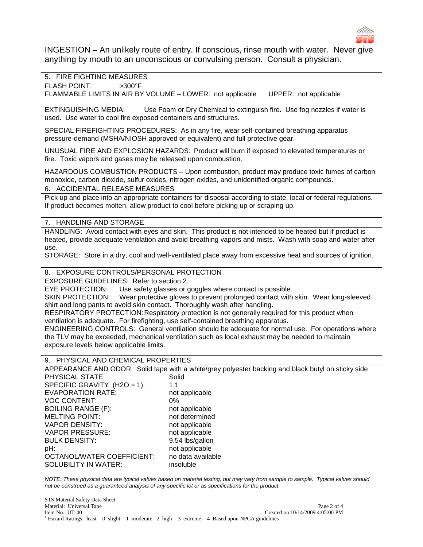

INGESTION – An unlikely route of entry. If conscious, rinse mouth with water. Never give anything by mouth to an unconscious or convulsing person. Consult a physician.

# 5. FIRE FIGHTING MEASURES

FLASH POINT: >300°F

FLAMMABLE LIMITS IN AIR BY VOLUME – LOWER: not applicable UPPER: not applicable

EXTINGUISHING MEDIA: Use Foam or Dry Chemical to extinguish fire. Use fog nozzles if water is used. Use water to cool fire exposed containers and structures.

SPECIAL FIREFIGHTING PROCEDURES: As in any fire, wear self-contained breathing apparatus pressure-demand (MSHA/NIOSH approved or equivalent) and full protective gear.

UNUSUAL FIRE AND EXPLOSION HAZARDS: Product will burn if exposed to elevated temperatures or fire. Toxic vapors and gases may be released upon combustion.

HAZARDOUS COMBUSTION PRODUCTS – Upon combustion, product may produce toxic fumes of carbon monoxide, carbon dioxide, sulfur oxides, nitrogen oxides, and unidentified organic compounds.

#### 6. ACCIDENTAL RELEASE MEASURES

Pick up and place into an appropriate containers for disposal according to state, local or federal regulations. If product becomes molten, allow product to cool before picking up or scraping up.

### 7. HANDLING AND STORAGE

HANDLING: Avoid contact with eyes and skin. This product is not intended to be heated but if product is heated, provide adequate ventilation and avoid breathing vapors and mists. Wash with soap and water after use.

STORAGE: Store in a dry, cool and well-ventilated place away from excessive heat and sources of ignition.

8. EXPOSURE CONTROLS/PERSONAL PROTECTION

EXPOSURE GUIDELINES: Refer to section 2.

EYE PROTECTION: Use safety glasses or goggles where contact is possible.

SKIN PROTECTION: Wear protective gloves to prevent prolonged contact with skin. Wear long-sleeved shirt and long pants to avoid skin contact. Thoroughly wash after handling.

RESPIRATORY PROTECTION: Respiratory protection is not generally required for this product when ventilation is adequate. For firefighting, use self-contained breathing apparatus.

ENGINEERING CONTROLS: General ventilation should be adequate for normal use. For operations where the TLV may be exceeded, mechanical ventilation such as local exhaust may be needed to maintain exposure levels below applicable limits.

#### 9. PHYSICAL AND CHEMICAL PROPERTIES

APPEARANCE AND ODOR: Solid tape with a white/grey polyester backing and black butyl on sticky side<br>PHYSICAL STATE: Solid PHYSICAL STATE:

| . <del>.</del> .            | ◡◡╷╷◡             |
|-----------------------------|-------------------|
| SPECIFIC GRAVITY (H2O = 1): | 1.1               |
| <b>EVAPORATION RATE:</b>    | not applicable    |
| <b>VOC CONTENT:</b>         | $0\%$             |
| <b>BOILING RANGE (F):</b>   | not applicable    |
| <b>MELTING POINT:</b>       | not determined    |
| <b>VAPOR DENSITY:</b>       | not applicable    |
| <b>VAPOR PRESSURE:</b>      | not applicable    |
| <b>BULK DENSITY:</b>        | 9.54 lbs/gallon   |
| pH:                         | not applicable    |
| OCTANOL/WATER COEFFICIENT:  | no data available |
| SOLUBILITY IN WATER:        | insoluble         |
|                             |                   |

*NOTE: These physical data are typical values based on material testing, but may vary from sample to sample. Typical values should not be construed as a guaranteed analysis of any specific lot or as specifications for the product.*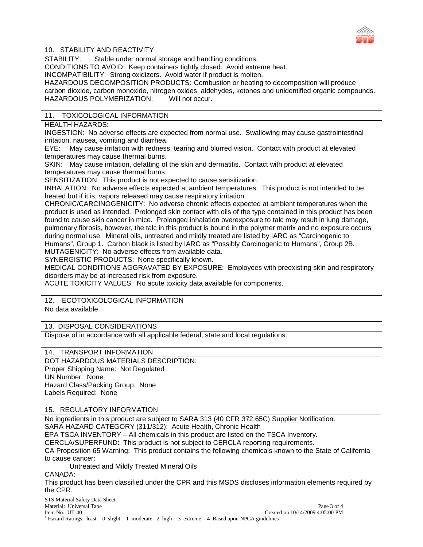

 $\overline{a}$ 

# 10. STABILITY AND REACTIVITY

STABILITY: Stable under normal storage and handling conditions.

CONDITIONS TO AVOID: Keep containers tightly closed. Avoid extreme heat.

INCOMPATIBILITY: Strong oxidizers. Avoid water if product is molten.

HAZARDOUS DECOMPOSITION PRODUCTS: Combustion or heating to decomposition will produce carbon dioxide, carbon monoxide, nitrogen oxides, aldehydes, ketones and unidentified organic compounds.<br>HAZARDOUS POLYMERIZATION: Will not occur. HAZARDOUS POLYMERIZATION:

# 11. TOXICOLOGICAL INFORMATION

HEALTH HAZARDS:

INGESTION: No adverse effects are expected from normal use. Swallowing may cause gastrointestinal irritation, nausea, vomiting and diarrhea.

EYE: May cause irritation with redness, tearing and blurred vision. Contact with product at elevated temperatures may cause thermal burns.

SKIN: May cause irritation, defatting of the skin and dermatitis. Contact with product at elevated temperatures may cause thermal burns.

SENSITIZATION: This product is not expected to cause sensitization.

INHALATION: No adverse effects expected at ambient temperatures. This product is not intended to be heated but if it is, vapors released may cause respiratory irritation.

CHRONIC/CARCINOGENICITY: No adverse chronic effects expected at ambient temperatures when the product is used as intended. Prolonged skin contact with oils of the type contained in this product has been found to cause skin cancer in mice. Prolonged inhalation overexposure to talc may result in lung damage, pulmonary fibrosis, however, the talc in this product is bound in the polymer matrix and no exposure occurs during normal use. Mineral oils, untreated and mildly treated are listed by IARC as "Carcinogenic to Humans", Group 1. Carbon black is listed by IARC as "Possibly Carcinogenic to Humans", Group 2B. MUTAGENICITY: No adverse effects from available data.

SYNERGISTIC PRODUCTS: None specifically known.

MEDICAL CONDITIONS AGGRAVATED BY EXPOSURE: Employees with preexisting skin and respiratory disorders may be at increased risk from exposure.

ACUTE TOXICITY VALUES: No acute toxicity data available for components.

# 12. ECOTOXICOLOGICAL INFORMATION

No data available.

# 13. DISPOSAL CONSIDERATIONS

Dispose of in accordance with all applicable federal, state and local regulations.

# 14. TRANSPORT INFORMATION

DOT HAZARDOUS MATERIALS DESCRIPTION: Proper Shipping Name: Not Regulated UN Number: None Hazard Class/Packing Group: None Labels Required: None

# 15. REGULATORY INFORMATION

No ingredients in this product are subject to SARA 313 (40 CFR 372.65C) Supplier Notification. SARA HAZARD CATEGORY (311/312): Acute Health, Chronic Health

EPA TSCA INVENTORY – All chemicals in this product are listed on the TSCA Inventory.

CERCLA/SUPERFUND: This product is not subject to CERCLA reporting requirements.

CA Proposition 65 Warning: This product contains the following chemicals known to the State of California to cause cancer:

Untreated and Mildly Treated Mineral Oils

CANADA:

This product has been classified under the CPR and this MSDS discloses information elements required by the CPR.